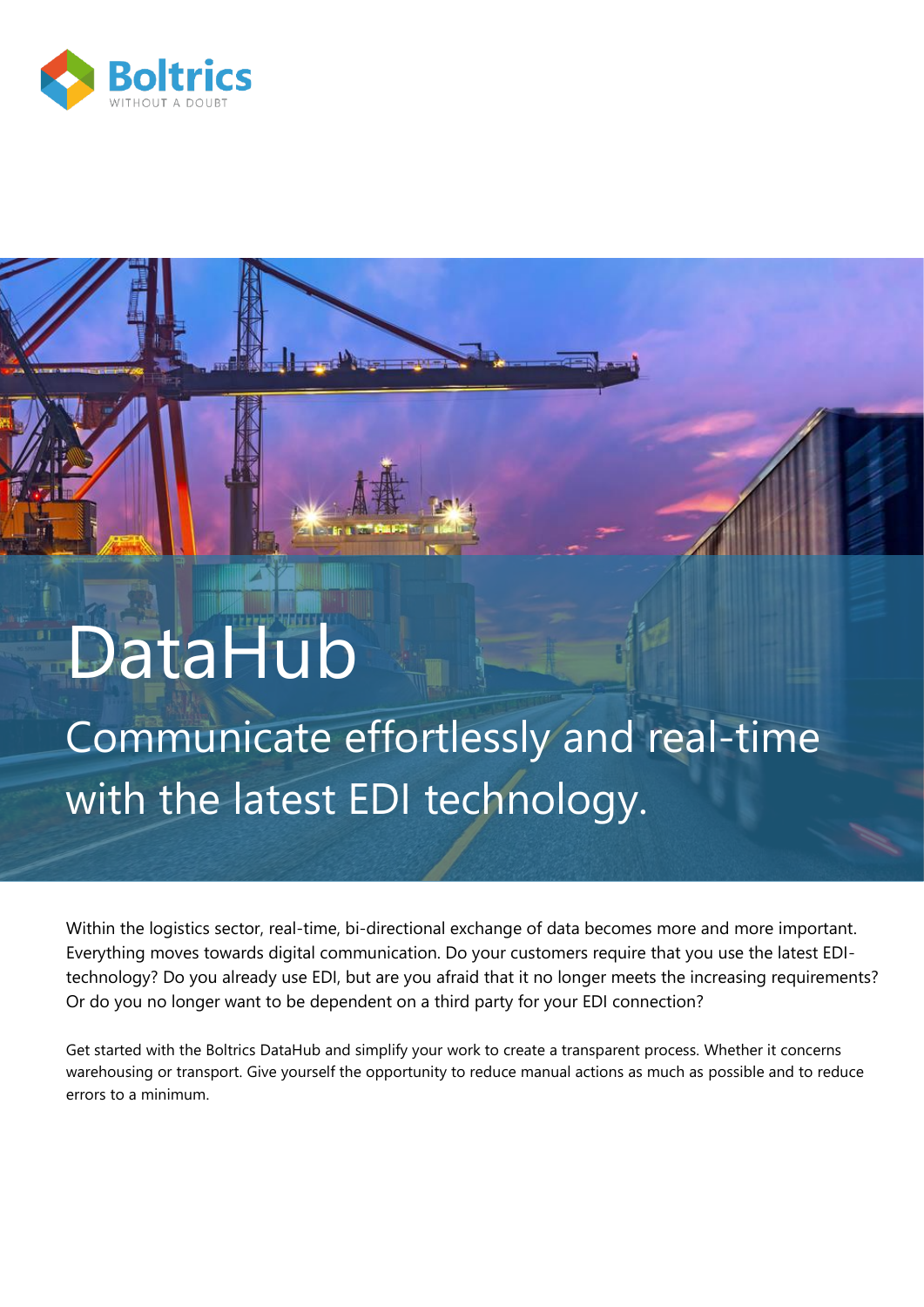

# DataHub

## Communicate effortlessly and real-time with the latest EDI technology.

 $\mathbf{P}$ 

Within the logistics sector, real-time, bi-directional exchange of data becomes more and more important. Everything moves towards digital communication. Do your customers require that you use the latest EDItechnology? Do you already use EDI, but are you afraid that it no longer meets the increasing requirements? Or do you no longer want to be dependent on a third party for your EDI connection?

Get started with the Boltrics DataHub and simplify your work to create a transparent process. Whether it concerns warehousing or transport. Give yourself the opportunity to reduce manual actions as much as possible and to reduce errors to a minimum.